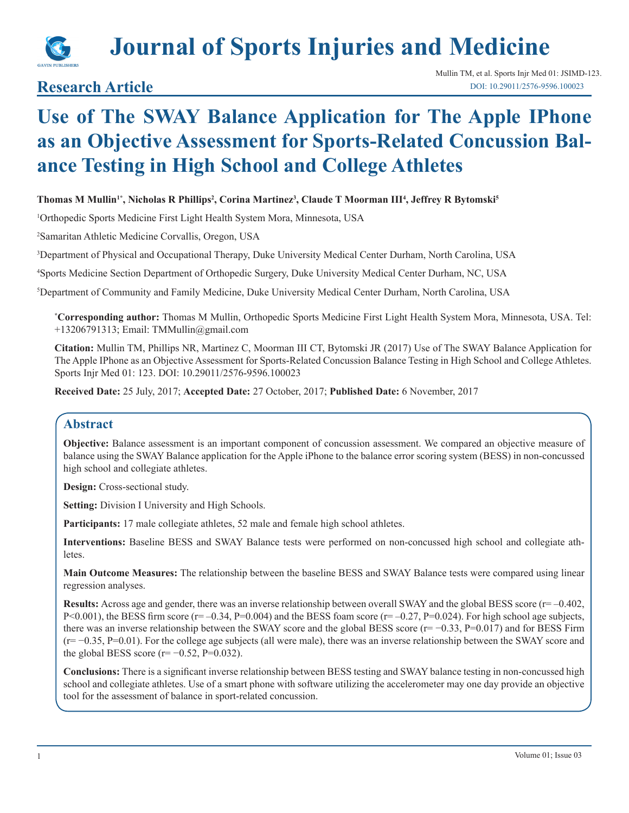

# **Journal of Sports Injuries and Medicine**

## **Research Article**

## **Use of The SWAY Balance Application for The Apple IPhone as an Objective Assessment for Sports-Related Concussion Balance Testing in High School and College Athletes**

## **Thomas M Mullin1\*, Nicholas R Phillips2 , Corina Martinez3 , Claude T Moorman III4 , Jeffrey R Bytomski5**

1 Orthopedic Sports Medicine First Light Health System Mora, Minnesota, USA

2 Samaritan Athletic Medicine Corvallis, Oregon, USA

3 Department of Physical and Occupational Therapy, Duke University Medical Center Durham, North Carolina, USA

4 Sports Medicine Section Department of Orthopedic Surgery, Duke University Medical Center Durham, NC, USA

5 Department of Community and Family Medicine, Duke University Medical Center Durham, North Carolina, USA

**\* Corresponding author:** Thomas M Mullin, Orthopedic Sports Medicine First Light Health System Mora, Minnesota, USA. Tel: +13206791313; Email: TMMullin@gmail.com

**Citation:** Mullin TM, Phillips NR, Martinez C, Moorman III CT, Bytomski JR (2017) Use of The SWAY Balance Application for The Apple IPhone as an Objective Assessment for Sports-Related Concussion Balance Testing in High School and College Athletes. Sports Injr Med 01: 123. DOI: 10.29011/2576-9596.100023

**Received Date:** 25 July, 2017; **Accepted Date:** 27 October, 2017; **Published Date:** 6 November, 2017

## **Abstract**

**Objective:** Balance assessment is an important component of concussion assessment. We compared an objective measure of balance using the SWAY Balance application for the Apple iPhone to the balance error scoring system (BESS) in non-concussed high school and collegiate athletes.

**Design:** Cross-sectional study.

**Setting:** Division I University and High Schools.

Participants: 17 male collegiate athletes, 52 male and female high school athletes.

**Interventions:** Baseline BESS and SWAY Balance tests were performed on non-concussed high school and collegiate athletes.

**Main Outcome Measures:** The relationship between the baseline BESS and SWAY Balance tests were compared using linear regression analyses.

Results: Across age and gender, there was an inverse relationship between overall SWAY and the global BESS score (r= -0.402, P<0.001), the BESS firm score ( $r=-0.34$ , P=0.004) and the BESS foam score ( $r=-0.27$ , P=0.024). For high school age subjects, there was an inverse relationship between the SWAY score and the global BESS score (r= −0.33, P=0.017) and for BESS Firm (r= −0.35, P=0.01). For the college age subjects (all were male), there was an inverse relationship between the SWAY score and the global BESS score ( $r=-0.52$ ,  $P=0.032$ ).

**Conclusions:** There is a significant inverse relationship between BESS testing and SWAY balance testing in non-concussed high school and collegiate athletes. Use of a smart phone with software utilizing the accelerometer may one day provide an objective tool for the assessment of balance in sport-related concussion.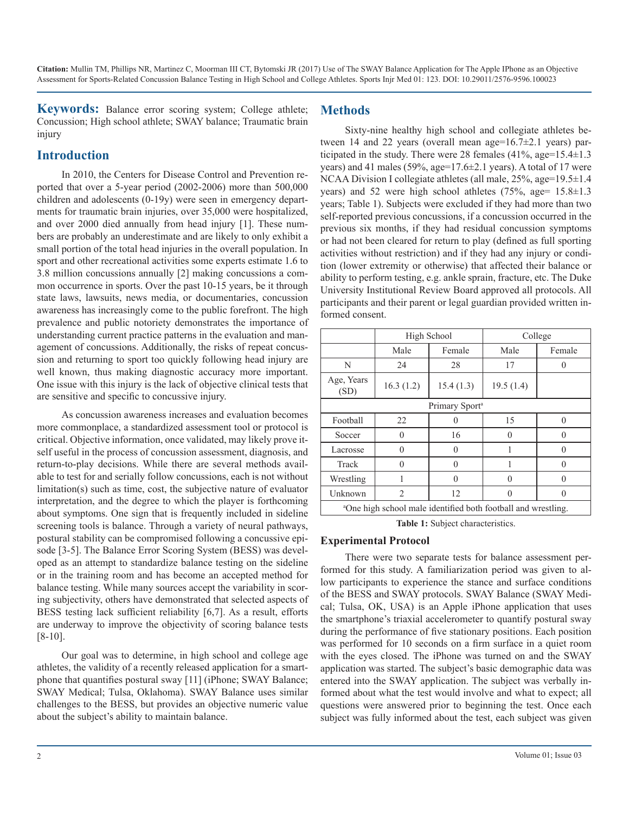**Keywords:** Balance error scoring system; College athlete; Concussion; High school athlete; SWAY balance; Traumatic brain injury

## **Introduction**

In 2010, the Centers for Disease Control and Prevention reported that over a 5-year period (2002-2006) more than 500,000 children and adolescents (0-19y) were seen in emergency departments for traumatic brain injuries, over 35,000 were hospitalized, and over 2000 died annually from head injury [1]. These numbers are probably an underestimate and are likely to only exhibit a small portion of the total head injuries in the overall population. In sport and other recreational activities some experts estimate 1.6 to 3.8 million concussions annually [2] making concussions a common occurrence in sports. Over the past 10-15 years, be it through state laws, lawsuits, news media, or documentaries, concussion awareness has increasingly come to the public forefront. The high prevalence and public notoriety demonstrates the importance of understanding current practice patterns in the evaluation and management of concussions. Additionally, the risks of repeat concussion and returning to sport too quickly following head injury are well known, thus making diagnostic accuracy more important. One issue with this injury is the lack of objective clinical tests that are sensitive and specific to concussive injury.

As concussion awareness increases and evaluation becomes more commonplace, a standardized assessment tool or protocol is critical. Objective information, once validated, may likely prove itself useful in the process of concussion assessment, diagnosis, and return-to-play decisions. While there are several methods available to test for and serially follow concussions, each is not without limitation(s) such as time, cost, the subjective nature of evaluator interpretation, and the degree to which the player is forthcoming about symptoms. One sign that is frequently included in sideline screening tools is balance. Through a variety of neural pathways, postural stability can be compromised following a concussive episode [3-5]. The Balance Error Scoring System (BESS) was developed as an attempt to standardize balance testing on the sideline or in the training room and has become an accepted method for balance testing. While many sources accept the variability in scoring subjectivity, others have demonstrated that selected aspects of BESS testing lack sufficient reliability [6,7]. As a result, efforts are underway to improve the objectivity of scoring balance tests [8-10].

Our goal was to determine, in high school and college age athletes, the validity of a recently released application for a smartphone that quantifies postural sway [11] (iPhone; SWAY Balance; SWAY Medical; Tulsa, Oklahoma). SWAY Balance uses similar challenges to the BESS, but provides an objective numeric value about the subject's ability to maintain balance.

## **Methods**

Sixty-nine healthy high school and collegiate athletes between 14 and 22 years (overall mean age=16.7 $\pm$ 2.1 years) participated in the study. There were 28 females  $(41\%$ , age= $15.4\pm1.3$ years) and 41 males (59%, age=17.6±2.1 years). A total of 17 were NCAA Division I collegiate athletes (all male, 25%, age=19.5±1.4 years) and 52 were high school athletes (75%, age=  $15.8 \pm 1.3$ ) years; Table 1). Subjects were excluded if they had more than two self-reported previous concussions, if a concussion occurred in the previous six months, if they had residual concussion symptoms or had not been cleared for return to play (defined as full sporting activities without restriction) and if they had any injury or condition (lower extremity or otherwise) that affected their balance or ability to perform testing, e.g. ankle sprain, fracture, etc. The Duke University Institutional Review Board approved all protocols. All participants and their parent or legal guardian provided written informed consent.

|                                                                           |           | High School | College   |          |  |  |  |
|---------------------------------------------------------------------------|-----------|-------------|-----------|----------|--|--|--|
|                                                                           | Male      | Female      | Male      | Female   |  |  |  |
| N                                                                         | 24        | 28          | 17        |          |  |  |  |
| Age, Years<br>(SD)                                                        | 16.3(1.2) | 15.4(1.3)   | 19.5(1.4) |          |  |  |  |
| Primary Sport <sup>a</sup>                                                |           |             |           |          |  |  |  |
| Football                                                                  | 22        |             | 15        | $\Omega$ |  |  |  |
| Soccer                                                                    | 0         | 16          | 0         |          |  |  |  |
| Lacrosse                                                                  | $\theta$  | 0           |           |          |  |  |  |
| Track                                                                     | $\theta$  | O           |           |          |  |  |  |
| Wrestling                                                                 |           | O           | $\theta$  |          |  |  |  |
| Unknown                                                                   | 2         | 12          | 0         |          |  |  |  |
| <sup>a</sup> One high school male identified both football and wrestling. |           |             |           |          |  |  |  |

**Table 1:** Subject characteristics.

#### **Experimental Protocol**

There were two separate tests for balance assessment performed for this study. A familiarization period was given to allow participants to experience the stance and surface conditions of the BESS and SWAY protocols. SWAY Balance (SWAY Medical; Tulsa, OK, USA) is an Apple iPhone application that uses the smartphone's triaxial accelerometer to quantify postural sway during the performance of five stationary positions. Each position was performed for 10 seconds on a firm surface in a quiet room with the eyes closed. The iPhone was turned on and the SWAY application was started. The subject's basic demographic data was entered into the SWAY application. The subject was verbally informed about what the test would involve and what to expect; all questions were answered prior to beginning the test. Once each subject was fully informed about the test, each subject was given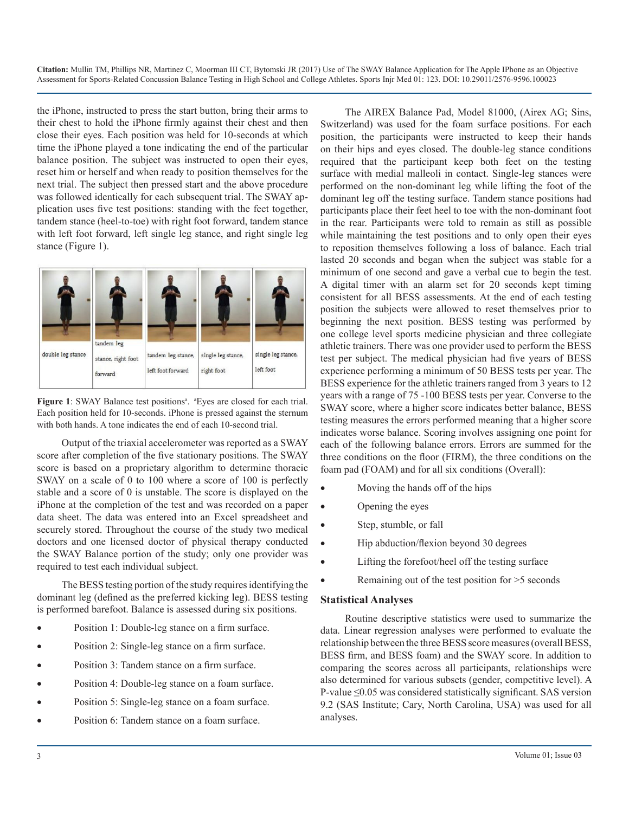**Citation:** Mullin TM, Phillips NR, Martinez C, Moorman III CT, Bytomski JR (2017) Use of The SWAY Balance Application for The Apple IPhone as an Objective Assessment for Sports-Related Concussion Balance Testing in High School and College Athletes. Sports Injr Med 01: 123. DOI: 10.29011/2576-9596.100023

the iPhone, instructed to press the start button, bring their arms to their chest to hold the iPhone firmly against their chest and then close their eyes. Each position was held for 10-seconds at which time the iPhone played a tone indicating the end of the particular balance position. The subject was instructed to open their eyes, reset him or herself and when ready to position themselves for the next trial. The subject then pressed start and the above procedure was followed identically for each subsequent trial. The SWAY application uses five test positions: standing with the feet together, tandem stance (heel-to-toe) with right foot forward, tandem stance with left foot forward, left single leg stance, and right single leg stance (Figure 1).



Figure 1: SWAY Balance test positions<sup>a</sup>. <sup>a</sup>Eyes are closed for each trial. Each position held for 10-seconds. iPhone is pressed against the sternum with both hands. A tone indicates the end of each 10-second trial.

Output of the triaxial accelerometer was reported as a SWAY score after completion of the five stationary positions. The SWAY score is based on a proprietary algorithm to determine thoracic SWAY on a scale of 0 to 100 where a score of 100 is perfectly stable and a score of 0 is unstable. The score is displayed on the iPhone at the completion of the test and was recorded on a paper data sheet. The data was entered into an Excel spreadsheet and securely stored. Throughout the course of the study two medical doctors and one licensed doctor of physical therapy conducted the SWAY Balance portion of the study; only one provider was required to test each individual subject.

The BESS testing portion of the study requires identifying the dominant leg (defined as the preferred kicking leg). BESS testing is performed barefoot. Balance is assessed during six positions.

- Position 1: Double-leg stance on a firm surface.
- Position 2: Single-leg stance on a firm surface.
- Position 3: Tandem stance on a firm surface.
- Position 4: Double-leg stance on a foam surface.
- Position 5: Single-leg stance on a foam surface.
- Position 6: Tandem stance on a foam surface.

The AIREX Balance Pad, Model 81000, (Airex AG; Sins, Switzerland) was used for the foam surface positions. For each position, the participants were instructed to keep their hands on their hips and eyes closed. The double-leg stance conditions required that the participant keep both feet on the testing surface with medial malleoli in contact. Single-leg stances were performed on the non-dominant leg while lifting the foot of the dominant leg off the testing surface. Tandem stance positions had participants place their feet heel to toe with the non-dominant foot in the rear. Participants were told to remain as still as possible while maintaining the test positions and to only open their eyes to reposition themselves following a loss of balance. Each trial lasted 20 seconds and began when the subject was stable for a minimum of one second and gave a verbal cue to begin the test. A digital timer with an alarm set for 20 seconds kept timing consistent for all BESS assessments. At the end of each testing position the subjects were allowed to reset themselves prior to beginning the next position. BESS testing was performed by one college level sports medicine physician and three collegiate athletic trainers. There was one provider used to perform the BESS test per subject. The medical physician had five years of BESS experience performing a minimum of 50 BESS tests per year. The BESS experience for the athletic trainers ranged from 3 years to 12 years with a range of 75 -100 BESS tests per year. Converse to the SWAY score, where a higher score indicates better balance, BESS testing measures the errors performed meaning that a higher score indicates worse balance. Scoring involves assigning one point for each of the following balance errors. Errors are summed for the three conditions on the floor (FIRM), the three conditions on the foam pad (FOAM) and for all six conditions (Overall):

- Moving the hands off of the hips
- Opening the eyes
- Step, stumble, or fall
- Hip abduction/flexion beyond 30 degrees
- Lifting the forefoot/heel off the testing surface
- Remaining out of the test position for  $>5$  seconds

#### **Statistical Analyses**

Routine descriptive statistics were used to summarize the data. Linear regression analyses were performed to evaluate the relationship between the three BESS score measures (overall BESS, BESS firm, and BESS foam) and the SWAY score. In addition to comparing the scores across all participants, relationships were also determined for various subsets (gender, competitive level). A P-value ≤0.05 was considered statistically significant. SAS version 9.2 (SAS Institute; Cary, North Carolina, USA) was used for all analyses.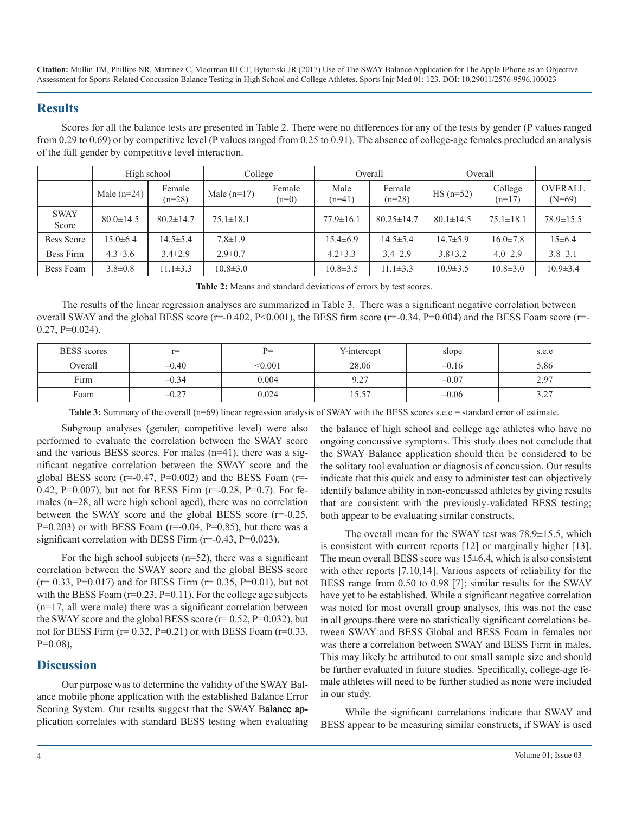**Citation:** Mullin TM, Phillips NR, Martinez C, Moorman III CT, Bytomski JR (2017) Use of The SWAY Balance Application for The Apple IPhone as an Objective Assessment for Sports-Related Concussion Balance Testing in High School and College Athletes. Sports Injr Med 01: 123. DOI: 10.29011/2576-9596.100023

## **Results**

Scores for all the balance tests are presented in Table 2. There were no differences for any of the tests by gender (P values ranged from 0.29 to 0.69) or by competitive level (P values ranged from 0.25 to 0.91). The absence of college-age females precluded an analysis of the full gender by competitive level interaction.

|                      | High school     |                    | College         |                   | Overall          |                    | Overall         |                     |                            |
|----------------------|-----------------|--------------------|-----------------|-------------------|------------------|--------------------|-----------------|---------------------|----------------------------|
|                      | Male $(n=24)$   | Female<br>$(n=28)$ | Male $(n=17)$   | Female<br>$(n=0)$ | Male<br>$(n=41)$ | Female<br>$(n=28)$ | $HS$ (n=52)     | College<br>$(n=17)$ | <b>OVERALL</b><br>$(N=69)$ |
| <b>SWAY</b><br>Score | $80.0 \pm 14.5$ | $80.2 \pm 14.7$    | $75.1 \pm 18.1$ |                   | $77.9 \pm 16.1$  | $80.25 \pm 14.7$   | $80.1 \pm 14.5$ | $75.1 \pm 18.1$     | $78.9 \pm 15.5$            |
| <b>Bess Score</b>    | $15.0 \pm 6.4$  | $14.5 \pm 5.4$     | $7.8 \pm 1.9$   |                   | $15.4 \pm 6.9$   | $14.5 \pm 5.4$     | $14.7 \pm 5.9$  | $16.0 \pm 7.8$      | $15\pm 6.4$                |
| Bess Firm            | $4.3 \pm 3.6$   | $3.4 \pm 2.9$      | $2.9 \pm 0.7$   |                   | $4.2 \pm 3.3$    | $3.4 \pm 2.9$      | $3.8 \pm 3.2$   | $4.0 \pm 2.9$       | $3.8 \pm 3.1$              |
| Bess Foam            | $3.8 \pm 0.8$   | $11.1 \pm 3.3$     | $10.8 \pm 3.0$  |                   | $10.8 \pm 3.5$   | $11.1 \pm 3.3$     | $10.9 \pm 3.5$  | $10.8 \pm 3.0$      | $10.9 \pm 3.4$             |

**Table 2:** Means and standard deviations of errors by test scores.

The results of the linear regression analyses are summarized in Table 3. There was a significant negative correlation between overall SWAY and the global BESS score  $(r=0.402, P<0.001)$ , the BESS firm score  $(r=-0.34, P=0.004)$  and the BESS Foam score  $(r=-0.402, P=0.001)$ .  $0.27, P=0.024$ .

| <b>BESS</b> scores | $r =$   | $P =$   | Y-intercept | slope   | s.e.e      |
|--------------------|---------|---------|-------------|---------|------------|
| Overall            | $-0.40$ | < 0.001 | 28.06       | $-0.16$ | 5.86       |
| Firm               | $-0.34$ | 0.004   | 0.27<br>ے . | $-0.07$ | 2.97       |
| Foam               | $-0.27$ | 0.024   | 15.57       | $-0.06$ | 227<br>ے ۔ |

Table 3: Summary of the overall (n=69) linear regression analysis of SWAY with the BESS scores s.e.e = standard error of estimate.

Subgroup analyses (gender, competitive level) were also performed to evaluate the correlation between the SWAY score and the various BESS scores. For males (n=41), there was a significant negative correlation between the SWAY score and the global BESS score ( $r=0.47$ ,  $P=0.002$ ) and the BESS Foam ( $r=$ 0.42, P=0.007), but not for BESS Firm (r=-0.28, P=0.7). For females (n=28, all were high school aged), there was no correlation between the SWAY score and the global BESS score (r=-0.25,  $P=0.203$ ) or with BESS Foam ( $r=0.04$ ,  $P=0.85$ ), but there was a significant correlation with BESS Firm (r=-0.43, P=0.023).

For the high school subjects  $(n=52)$ , there was a significant correlation between the SWAY score and the global BESS score  $(r= 0.33, P=0.017)$  and for BESS Firm  $(r= 0.35, P=0.01)$ , but not with the BESS Foam  $(r=0.23, P=0.11)$ . For the college age subjects (n=17, all were male) there was a significant correlation between the SWAY score and the global BESS score  $(r= 0.52, P=0.032)$ , but not for BESS Firm  $(r= 0.32, P=0.21)$  or with BESS Foam  $(r=0.33, P=0.21)$ P=0.08),

## **Discussion**

Our purpose was to determine the validity of the SWAY Balance mobile phone application with the established Balance Error Scoring System. Our results suggest that the SWAY Balance application correlates with standard BESS testing when evaluating the balance of high school and college age athletes who have no ongoing concussive symptoms. This study does not conclude that the SWAY Balance application should then be considered to be the solitary tool evaluation or diagnosis of concussion. Our results indicate that this quick and easy to administer test can objectively identify balance ability in non-concussed athletes by giving results that are consistent with the previously-validated BESS testing; both appear to be evaluating similar constructs.

The overall mean for the SWAY test was 78.9±15.5, which is consistent with current reports [12] or marginally higher [13]. The mean overall BESS score was  $15\pm6.4$ , which is also consistent with other reports [7.10,14]. Various aspects of reliability for the BESS range from 0.50 to 0.98 [7]; similar results for the SWAY have yet to be established. While a significant negative correlation was noted for most overall group analyses, this was not the case in all groups-there were no statistically significant correlations between SWAY and BESS Global and BESS Foam in females nor was there a correlation between SWAY and BESS Firm in males. This may likely be attributed to our small sample size and should be further evaluated in future studies. Specifically, college-age female athletes will need to be further studied as none were included in our study.

While the significant correlations indicate that SWAY and BESS appear to be measuring similar constructs, if SWAY is used